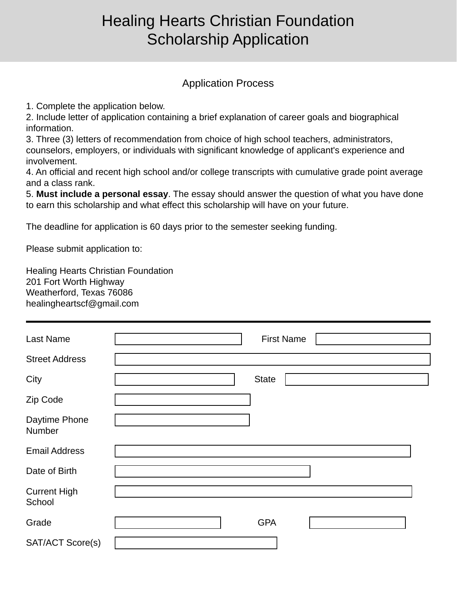## Healing Hearts Christian Foundation Scholarship Application

## Application Process

1. Complete the application below.

2. Include letter of application containing a brief explanation of career goals and biographical information.

3. Three (3) letters of recommendation from choice of high school teachers, administrators, counselors, employers, or individuals with significant knowledge of applicant's experience and involvement.

4. An official and recent high school and/or college transcripts with cumulative grade point average and a class rank.

5. **Must include a personal essay**. The essay should answer the question of what you have done to earn this scholarship and what effect this scholarship will have on your future.

The deadline for application is 60 days prior to the semester seeking funding.

Please submit application to:

Healing Hearts Christian Foundation 201 Fort Worth Highway Weatherford, Texas 76086 healingheartscf@gmail.com

| <b>Last Name</b>              |                      | <b>First Name</b> |  |
|-------------------------------|----------------------|-------------------|--|
| <b>Street Address</b>         |                      |                   |  |
| City                          |                      | <b>State</b>      |  |
| Zip Code                      |                      |                   |  |
| Daytime Phone<br>Number       |                      |                   |  |
| <b>Email Address</b>          |                      |                   |  |
| Date of Birth                 |                      |                   |  |
| <b>Current High</b><br>School |                      |                   |  |
| Grade                         | $\blacktriangledown$ | <b>GPA</b>        |  |
| SAT/ACT Score(s)              |                      |                   |  |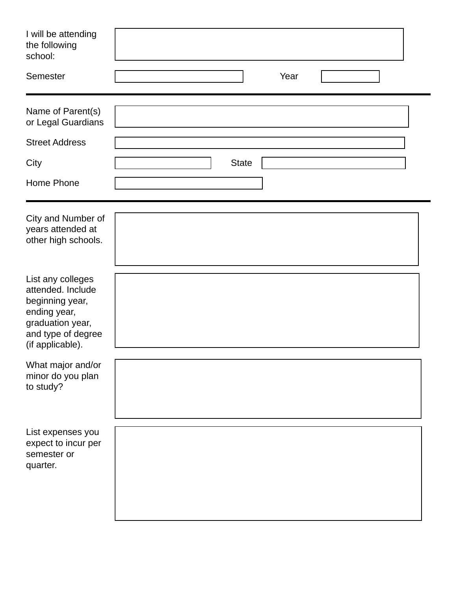| I will be attending<br>the following<br>school:                                                                                         |                                                          |  |
|-----------------------------------------------------------------------------------------------------------------------------------------|----------------------------------------------------------|--|
| Semester                                                                                                                                | Year<br>$\left  \cdot \right $<br>$\left  \cdot \right $ |  |
| Name of Parent(s)<br>or Legal Guardians                                                                                                 |                                                          |  |
| <b>Street Address</b>                                                                                                                   |                                                          |  |
| City                                                                                                                                    | <b>State</b>                                             |  |
| Home Phone                                                                                                                              |                                                          |  |
| City and Number of<br>years attended at<br>other high schools.                                                                          |                                                          |  |
| List any colleges<br>attended. Include<br>beginning year,<br>ending year,<br>graduation year,<br>and type of degree<br>(if applicable). |                                                          |  |
| What major and/or<br>minor do you plan<br>to study?                                                                                     |                                                          |  |
| List expenses you<br>expect to incur per<br>semester or<br>quarter.                                                                     |                                                          |  |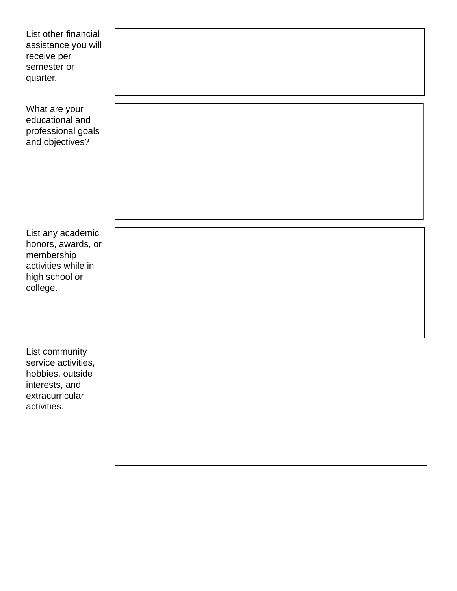| List other financial<br>assistance you will<br>receive per<br>semester or<br>quarter.                         |  |
|---------------------------------------------------------------------------------------------------------------|--|
| What are your<br>educational and<br>professional goals<br>and objectives?                                     |  |
| List any academic<br>honors, awards, or<br>membership<br>activities while in<br>high school or<br>college.    |  |
| List community<br>service activities,<br>hobbies, outside<br>interests, and<br>extracurricular<br>activities. |  |